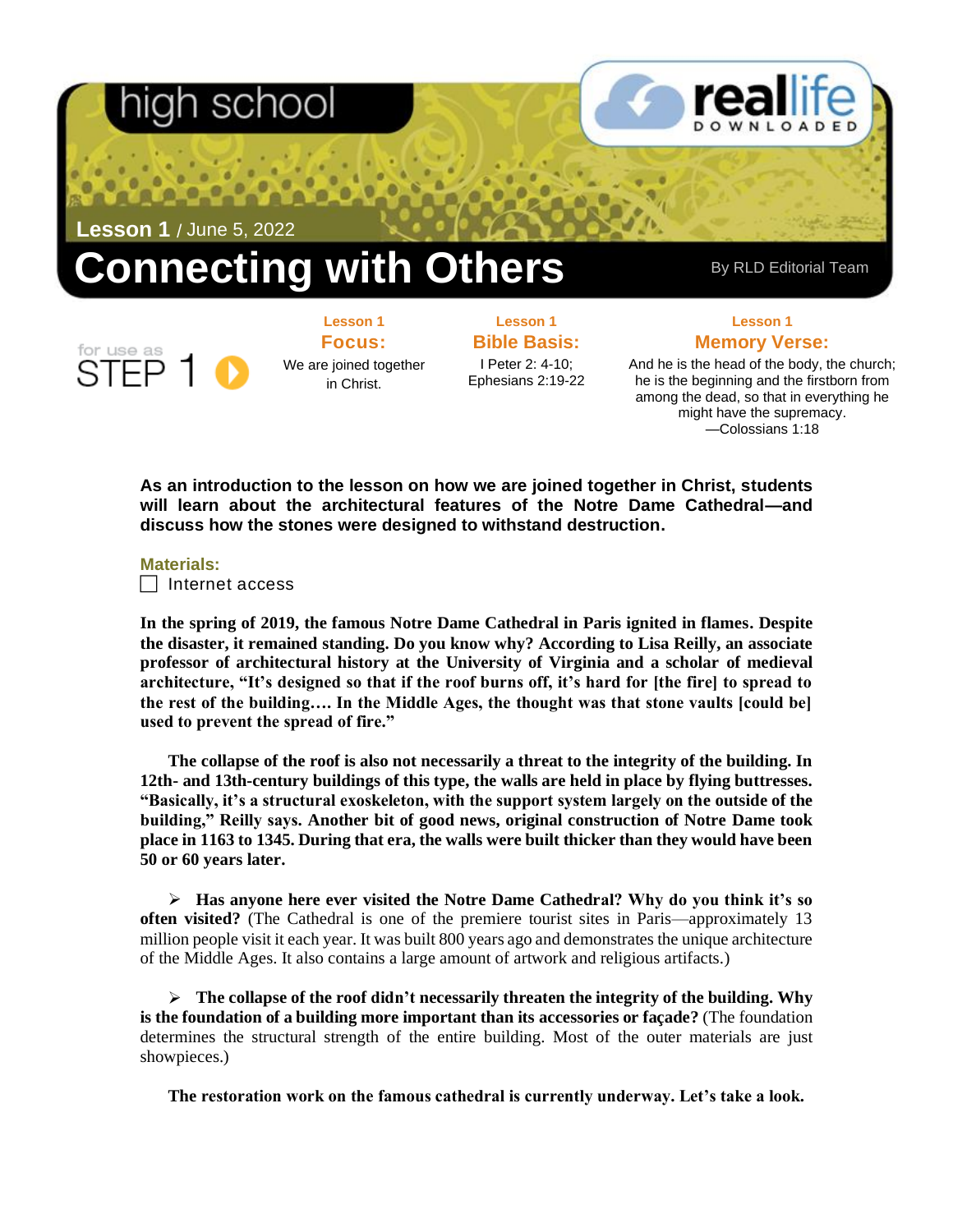## scr

**Lesson 1** / June 5, 2022

# **Connecting with Others** By RLD Editorial Team

**Focus:**  We are joined together in Christ.

**Lesson 1**

**Lesson 1 Bible Basis:** I Peter 2: 4-10; Ephesians 2:19-22

**Lesson 1 Memory Verse:**

And he is the head of the body, the church; he is the beginning and the firstborn from among the dead, so that in everything he might have the supremacy. —Colossians 1:18

**As an introduction to the lesson on how we are joined together in Christ, students will learn about the architectural features of the Notre Dame Cathedral—and discuss how the stones were designed to withstand destruction.**

#### **Materials:**

 $\Box$  Internet access

**In the spring of 2019, the famous Notre Dame Cathedral in Paris ignited in flames. Despite the disaster, it remained standing. Do you know why? According to Lisa Reilly, an associate professor of architectural history at the University of Virginia and a scholar of medieval architecture, "It's designed so that if the roof burns off, it's hard for [the fire] to spread to the rest of the building…. In the Middle Ages, the thought was that stone vaults [could be] used to prevent the spread of fire."**

**The collapse of the roof is also not necessarily a threat to the integrity of the building. In 12th- and 13th-century buildings of this type, the walls are held in place by flying buttresses. "Basically, it's a structural exoskeleton, with the support system largely on the outside of the building," Reilly says. Another bit of good news, original construction of Notre Dame took place in 1163 to 1345. During that era, the walls were built thicker than they would have been 50 or 60 years later.**

➢ **Has anyone here ever visited the Notre Dame Cathedral? Why do you think it's so often visited?** (The Cathedral is one of the premiere tourist sites in Paris—approximately 13 million people visit it each year. It was built 800 years ago and demonstrates the unique architecture of the Middle Ages. It also contains a large amount of artwork and religious artifacts.)

➢ **The collapse of the roof didn't necessarily threaten the integrity of the building. Why is the foundation of a building more important than its accessories or façade?** (The foundation determines the structural strength of the entire building. Most of the outer materials are just showpieces.)

**The restoration work on the famous cathedral is currently underway. Let's take a look.**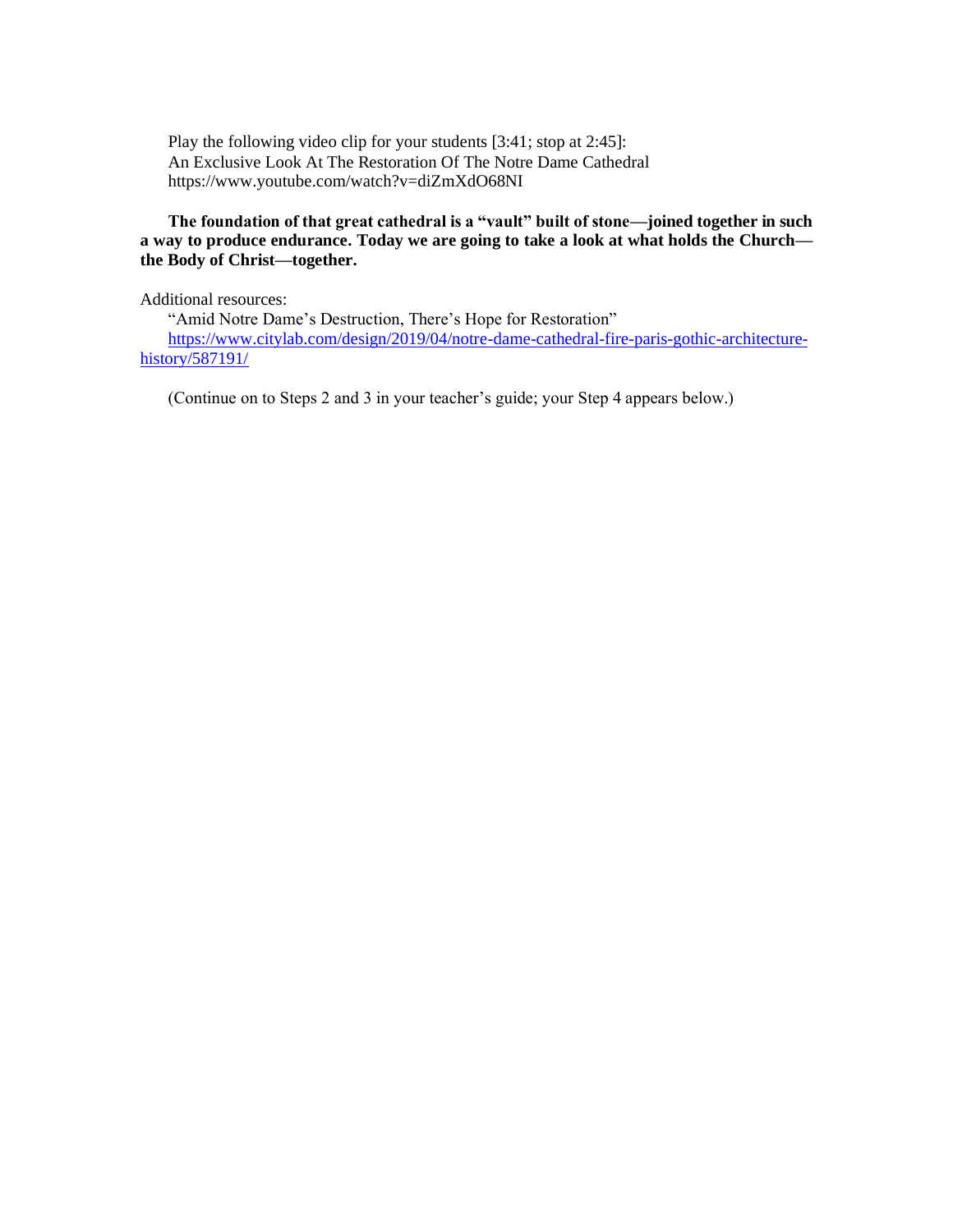Play the following video clip for your students [3:41; stop at 2:45]: An Exclusive Look At The Restoration Of The Notre Dame Cathedral https://www.youtube.com/watch?v=diZmXdO68NI

#### **The foundation of that great cathedral is a "vault" built of stone—joined together in such a way to produce endurance. Today we are going to take a look at what holds the Church the Body of Christ—together.**

Additional resources:

"Amid Notre Dame's Destruction, There's Hope for Restoration" [https://www.citylab.com/design/2019/04/notre-dame-cathedral-fire-paris-gothic-architecture](https://www.citylab.com/design/2019/04/notre-dame-cathedral-fire-paris-gothic-architecture-history/587191/)[history/587191/](https://www.citylab.com/design/2019/04/notre-dame-cathedral-fire-paris-gothic-architecture-history/587191/)

(Continue on to Steps 2 and 3 in your teacher's guide; your Step 4 appears below.)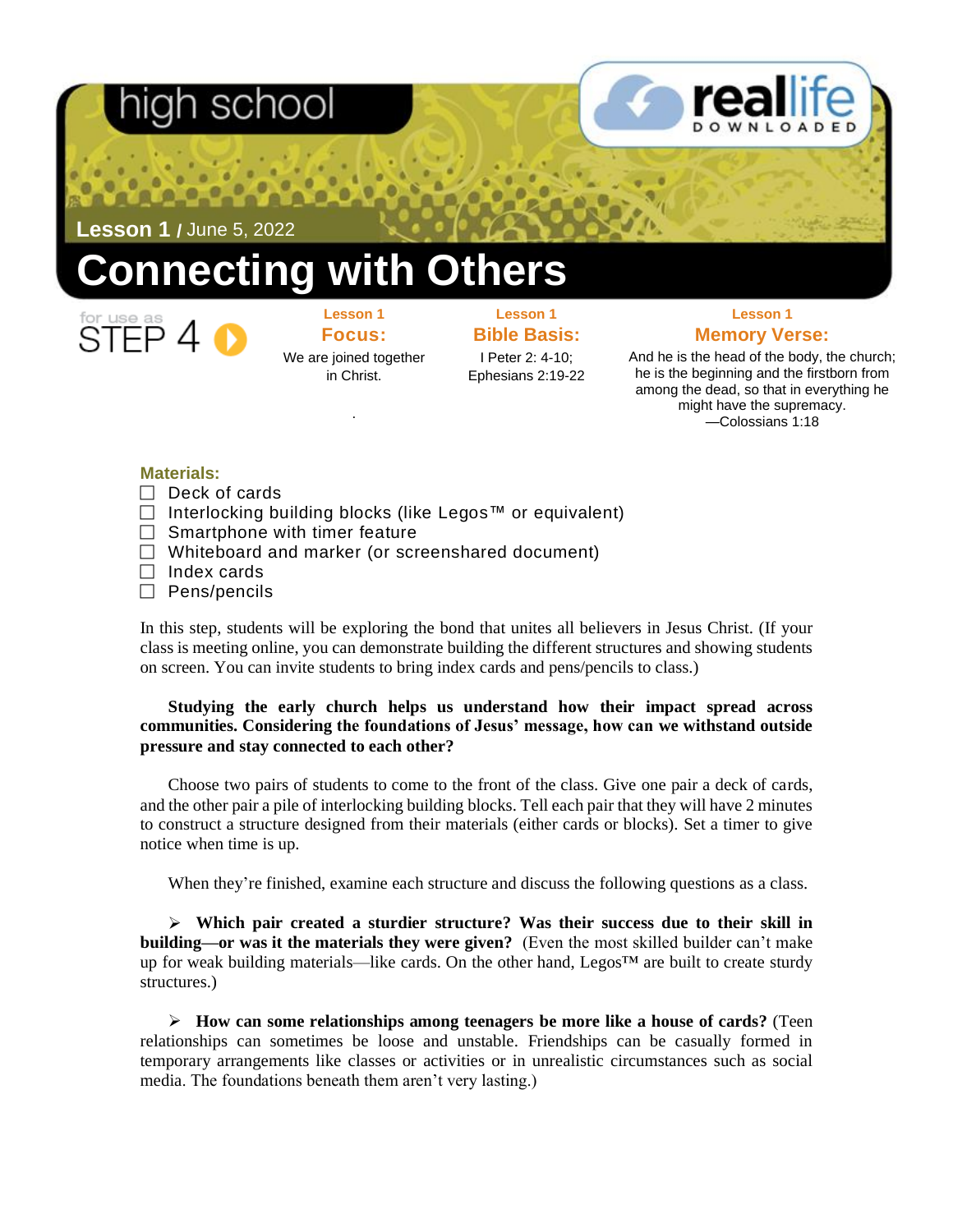## า school

**Lesson 1 /** June 5, 2022

## **Connecting with Others**



**Lesson 1 Focus:**  We are joined together in Christ.

.

### **Lesson 1 Bible Basis:**

I Peter 2: 4-10; Ephesians 2:19-22

### **Lesson 1 Memory Verse:**

And he is the head of the body, the church; he is the beginning and the firstborn from among the dead, so that in everything he might have the supremacy. —Colossians 1:18

### **Materials:**

- $\Box$  Deck of cards
- Interlocking building blocks (like Legos™ or equivalent)
- $\Box$  Smartphone with timer feature
- $\Box$  Whiteboard and marker (or screenshared document)
- $\Box$  Index cards
- $\Box$  Pens/pencils

In this step, students will be exploring the bond that unites all believers in Jesus Christ. (If your class is meeting online, you can demonstrate building the different structures and showing students on screen. You can invite students to bring index cards and pens/pencils to class.)

### **Studying the early church helps us understand how their impact spread across communities. Considering the foundations of Jesus' message, how can we withstand outside pressure and stay connected to each other?**

Choose two pairs of students to come to the front of the class. Give one pair a deck of cards, and the other pair a pile of interlocking building blocks. Tell each pair that they will have 2 minutes to construct a structure designed from their materials (either cards or blocks). Set a timer to give notice when time is up.

When they're finished, examine each structure and discuss the following questions as a class.

➢ **Which pair created a sturdier structure? Was their success due to their skill in building—or was it the materials they were given?** (Even the most skilled builder can't make up for weak building materials—like cards. On the other hand, Legos<sup>™</sup> are built to create sturdy structures.)

➢ **How can some relationships among teenagers be more like a house of cards?** (Teen relationships can sometimes be loose and unstable. Friendships can be casually formed in temporary arrangements like classes or activities or in unrealistic circumstances such as social media. The foundations beneath them aren't very lasting.)